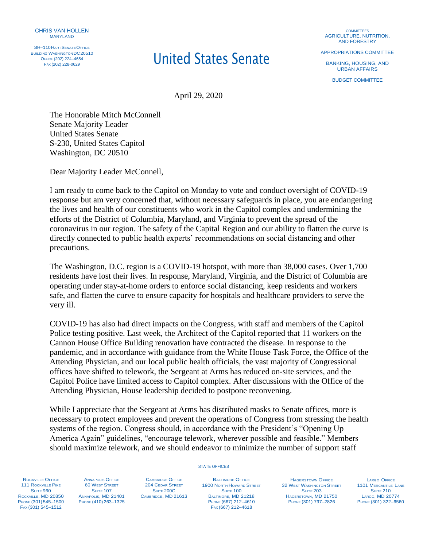

SH-110 HART SENATE OFFICE **BUILDING WASHINGTON DC20510** OFFICE (202) 224–4654

## **United States Senate**

**COMMITTEES** AGRICULTURE, NUTRITION, AND FORESTRY

APPROPRIATIONS COMMITTEE

BANKING, HOUSING, AND URBAN AFFAIRS

BUDGET COMMITTEE

April 29, 2020

The Honorable Mitch McConnell Senate Majority Leader United States Senate S-230, United States Capitol Washington, DC 20510

Dear Majority Leader McConnell,

I am ready to come back to the Capitol on Monday to vote and conduct oversight of COVID-19 response but am very concerned that, without necessary safeguards in place, you are endangering the lives and health of our constituents who work in the Capitol complex and undermining the efforts of the District of Columbia, Maryland, and Virginia to prevent the spread of the coronavirus in our region. The safety of the Capital Region and our ability to flatten the curve is directly connected to public health experts' recommendations on social distancing and other precautions.

The Washington, D.C. region is a COVID-19 hotspot, with more than 38,000 cases. Over 1,700 residents have lost their lives. In response, Maryland, Virginia, and the District of Columbia are operating under stay-at-home orders to enforce social distancing, keep residents and workers safe, and flatten the curve to ensure capacity for hospitals and healthcare providers to serve the very ill.

COVID-19 has also had direct impacts on the Congress, with staff and members of the Capitol Police testing positive. Last week, the Architect of the Capitol reported that 11 workers on the Cannon House Office Building renovation have contracted the disease. In response to the pandemic, and in accordance with guidance from the White House Task Force, the Office of the Attending Physician, and our local public health officials, the vast majority of Congressional offices have shifted to telework, the Sergeant at Arms has reduced on-site services, and the Capitol Police have limited access to Capitol complex. After discussions with the Office of the Attending Physician, House leadership decided to postpone reconvening.

While I appreciate that the Sergeant at Arms has distributed masks to Senate offices, more is necessary to protect employees and prevent the operations of Congress from stressing the health systems of the region. Congress should, in accordance with the President's "Opening Up America Again" guidelines, "encourage telework, wherever possible and feasible." Members should maximize telework, and we should endeavor to minimize the number of support staff

STATE OFFICES

ROCKVILLE OFFICE 111 ROCKVILLE PIKE **SUITE 960** ROCKVILLE, MD 20850 PHONE (301) 545–1500 FAX (301) 545–1512

ANNAPOLIS OFFICE **60 WEST STREET SUITE 107** ANNAPOLIS, MD 21401 PHONE (410) 263–1325

CAMBRIDGE OFFICE 204 CEDAR STREET SUITE 200C CAMBRIDGE, MD 21613

**BALTIMORE OFFICE** 1900 NORTH HOWARD STREET SUITE<sub>100</sub> BALTIMORE, MD 21218 PHONE (667) 212–4610 FAX (667) 212–4618

HAGERSTOWN OFFICE **32 WEST WASHINGTON STREET SUITE 203** HAGERSTOWN, MD 21750 PHONE (301) 797–2826

LARGO OFFICE 1101 MERCANTILE LANE **SUITE 210** LARGO, MD 20774 PHONE (301) 322–6560